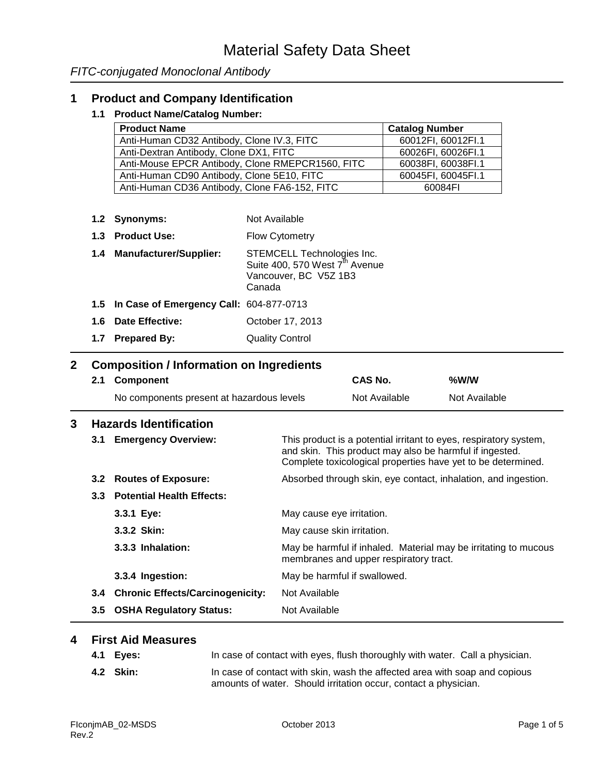## **1 Product and Company Identification**

## **1.1 Product Name/Catalog Number:**

|                         |                                        | <b>Product Name</b>                              |               |                                                                                                                                                                                              |               | <b>Catalog Number</b> |               |  |
|-------------------------|----------------------------------------|--------------------------------------------------|---------------|----------------------------------------------------------------------------------------------------------------------------------------------------------------------------------------------|---------------|-----------------------|---------------|--|
|                         |                                        | Anti-Human CD32 Antibody, Clone IV.3, FITC       |               |                                                                                                                                                                                              |               | 60012FI, 60012FI.1    |               |  |
|                         | Anti-Dextran Antibody, Clone DX1, FITC |                                                  |               |                                                                                                                                                                                              |               | 60026FI, 60026FI.1    |               |  |
|                         |                                        | Anti-Mouse EPCR Antibody, Clone RMEPCR1560, FITC |               |                                                                                                                                                                                              |               | 60038FI, 60038FI.1    |               |  |
|                         |                                        | Anti-Human CD90 Antibody, Clone 5E10, FITC       |               |                                                                                                                                                                                              |               | 60045FI, 60045FI.1    |               |  |
|                         |                                        | Anti-Human CD36 Antibody, Clone FA6-152, FITC    |               |                                                                                                                                                                                              |               | 60084FI               |               |  |
|                         | 1.2                                    | <b>Synonyms:</b>                                 | Not Available |                                                                                                                                                                                              |               |                       |               |  |
|                         |                                        | 1.3 Product Use:                                 |               | Flow Cytometry                                                                                                                                                                               |               |                       |               |  |
|                         |                                        | 1.4 Manufacturer/Supplier:                       | Canada        | STEMCELL Technologies Inc.<br>Suite 400, 570 West 7 <sup>th</sup> Avenue<br>Vancouver, BC V5Z 1B3                                                                                            |               |                       |               |  |
|                         |                                        | 1.5 In Case of Emergency Call: 604-877-0713      |               |                                                                                                                                                                                              |               |                       |               |  |
|                         |                                        | 1.6 Date Effective:                              |               | October 17, 2013                                                                                                                                                                             |               |                       |               |  |
|                         |                                        | 1.7 Prepared By:                                 |               | <b>Quality Control</b>                                                                                                                                                                       |               |                       |               |  |
| $\overline{\mathbf{2}}$ |                                        | <b>Composition / Information on Ingredients</b>  |               |                                                                                                                                                                                              |               |                       |               |  |
|                         | 2.1                                    | Component                                        |               |                                                                                                                                                                                              | CAS No.       |                       | %W/W          |  |
|                         |                                        | No components present at hazardous levels        |               |                                                                                                                                                                                              | Not Available |                       | Not Available |  |
| 3                       |                                        | <b>Hazards Identification</b>                    |               |                                                                                                                                                                                              |               |                       |               |  |
|                         | 3.1                                    | <b>Emergency Overview:</b>                       |               | This product is a potential irritant to eyes, respiratory system,<br>and skin. This product may also be harmful if ingested.<br>Complete toxicological properties have yet to be determined. |               |                       |               |  |
|                         |                                        | 3.2 Routes of Exposure:                          |               | Absorbed through skin, eye contact, inhalation, and ingestion.                                                                                                                               |               |                       |               |  |
|                         |                                        | 3.3 Potential Health Effects:                    |               |                                                                                                                                                                                              |               |                       |               |  |
|                         |                                        | 3.3.1 Eye:                                       |               | May cause eye irritation.                                                                                                                                                                    |               |                       |               |  |
|                         |                                        | 3.3.2 Skin:                                      |               | May cause skin irritation.                                                                                                                                                                   |               |                       |               |  |
|                         |                                        | 3.3.3 Inhalation:                                |               | May be harmful if inhaled. Material may be irritating to mucous<br>membranes and upper respiratory tract.                                                                                    |               |                       |               |  |
|                         |                                        |                                                  |               |                                                                                                                                                                                              |               |                       |               |  |
|                         |                                        | 3.3.4 Ingestion:                                 |               | May be harmful if swallowed.                                                                                                                                                                 |               |                       |               |  |
|                         |                                        | 3.4 Chronic Effects/Carcinogenicity:             |               | Not Available                                                                                                                                                                                |               |                       |               |  |

## **4 First Aid Measures**

| 4.1 Eyes: | In case of contact with eyes, flush thoroughly with water. Call a physician.                                                                  |
|-----------|-----------------------------------------------------------------------------------------------------------------------------------------------|
| 4.2 Skin: | In case of contact with skin, wash the affected area with soap and copious<br>amounts of water. Should irritation occur, contact a physician. |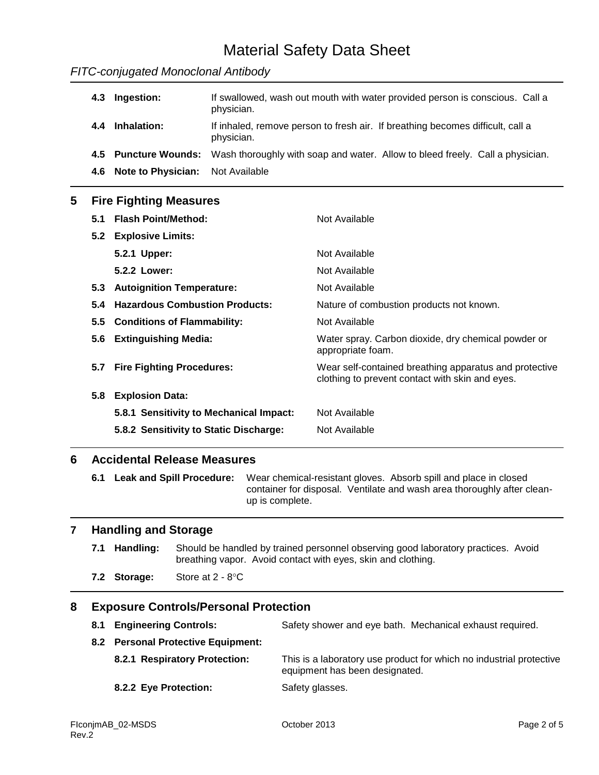## Material Safety Data Sheet

## *FITC-conjugated Monoclonal Antibody*

| 4.3 Ingestion:                       | If swallowed, wash out mouth with water provided person is conscious. Call a<br>physician.         |
|--------------------------------------|----------------------------------------------------------------------------------------------------|
| 4.4 Inhalation:                      | If inhaled, remove person to fresh air. If breathing becomes difficult, call a<br>physician.       |
|                                      | 4.5 Puncture Wounds: Wash thoroughly with soap and water. Allow to bleed freely. Call a physician. |
| 4.6 Note to Physician: Not Available |                                                                                                    |

### **5 Fire Fighting Measures**

| 5.1           | <b>Flash Point/Method:</b>              | Not Available                                                                                             |
|---------------|-----------------------------------------|-----------------------------------------------------------------------------------------------------------|
| 5.2           | <b>Explosive Limits:</b>                |                                                                                                           |
|               | 5.2.1 Upper:                            | Not Available                                                                                             |
|               | 5.2.2 Lower:                            | Not Available                                                                                             |
| 5.3           | <b>Autoignition Temperature:</b>        | Not Available                                                                                             |
| 5.4           | <b>Hazardous Combustion Products:</b>   | Nature of combustion products not known.                                                                  |
| $5.5^{\circ}$ | <b>Conditions of Flammability:</b>      | Not Available                                                                                             |
| 5.6           | <b>Extinguishing Media:</b>             | Water spray. Carbon dioxide, dry chemical powder or<br>appropriate foam.                                  |
| 5.7           | <b>Fire Fighting Procedures:</b>        | Wear self-contained breathing apparatus and protective<br>clothing to prevent contact with skin and eyes. |
| 5.8           | <b>Explosion Data:</b>                  |                                                                                                           |
|               | 5.8.1 Sensitivity to Mechanical Impact: | Not Available                                                                                             |
|               | 5.8.2 Sensitivity to Static Discharge:  | Not Available                                                                                             |
|               |                                         |                                                                                                           |

## **6 Accidental Release Measures**

**6.1 Leak and Spill Procedure:** Wear chemical-resistant gloves. Absorb spill and place in closed container for disposal. Ventilate and wash area thoroughly after cleanup is complete.

#### **7 Handling and Storage**

|  | 7.1 Handling: Should be handled by trained personnel observing good laboratory practices. Avoid |
|--|-------------------------------------------------------------------------------------------------|
|  | breathing vapor. Avoid contact with eyes, skin and clothing.                                    |

**7.2 Storage:** Store at 2 - 8°C

## **8 Exposure Controls/Personal Protection**

- **8.1 Engineering Controls:** Safety shower and eye bath. Mechanical exhaust required.
- **8.2 Personal Protective Equipment:**
	- **8.2.1 Respiratory Protection:** This is a laboratory use product for which no industrial protective equipment has been designated.
	- **8.2.2 Eye Protection:** Safety glasses.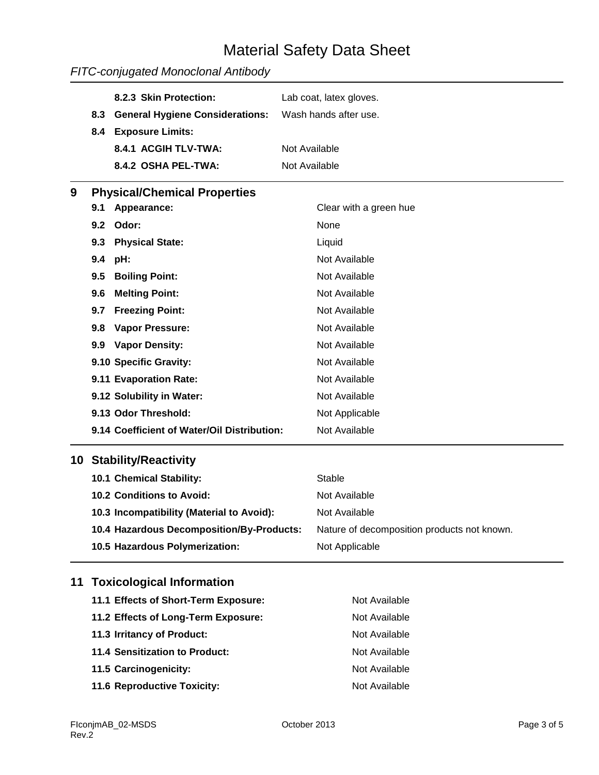# Material Safety Data Sheet

## *FITC-conjugated Monoclonal Antibody*

|    |     | 8.2.3 Skin Protection:                      | Lab coat, latex gloves.                     |
|----|-----|---------------------------------------------|---------------------------------------------|
|    | 8.3 | <b>General Hygiene Considerations:</b>      | Wash hands after use.                       |
|    | 8.4 | <b>Exposure Limits:</b>                     |                                             |
|    |     | 8.4.1 ACGIH TLV-TWA:                        | Not Available                               |
|    |     | 8.4.2 OSHA PEL-TWA:                         | Not Available                               |
| 9  |     | <b>Physical/Chemical Properties</b>         |                                             |
|    | 9.1 | Appearance:                                 | Clear with a green hue                      |
|    | 9.2 | Odor:                                       | None                                        |
|    | 9.3 | <b>Physical State:</b>                      | Liquid                                      |
|    | 9.4 | pH:                                         | Not Available                               |
|    | 9.5 | <b>Boiling Point:</b>                       | Not Available                               |
|    | 9.6 | <b>Melting Point:</b>                       | Not Available                               |
|    | 9.7 | <b>Freezing Point:</b>                      | Not Available                               |
|    | 9.8 | <b>Vapor Pressure:</b>                      | Not Available                               |
|    | 9.9 | <b>Vapor Density:</b>                       | Not Available                               |
|    |     | 9.10 Specific Gravity:                      | Not Available                               |
|    |     | 9.11 Evaporation Rate:                      | Not Available                               |
|    |     | 9.12 Solubility in Water:                   | Not Available                               |
|    |     | 9.13 Odor Threshold:                        | Not Applicable                              |
|    |     | 9.14 Coefficient of Water/Oil Distribution: | Not Available                               |
| 10 |     | <b>Stability/Reactivity</b>                 |                                             |
|    |     | 10.1 Chemical Stability:                    | <b>Stable</b>                               |
|    |     | 10.2 Conditions to Avoid:                   | Not Available                               |
|    |     | 10.3 Incompatibility (Material to Avoid):   | Not Available                               |
|    |     | 10.4 Hazardous Decomposition/By-Products:   | Nature of decomposition products not known. |
|    |     | 10.5 Hazardous Polymerization:              | Not Applicable                              |
| 11 |     | <b>Toxicological Information</b>            |                                             |
|    |     | 11.1 Effects of Short-Term Exposure:        | Not Available                               |

| 11.2 Effects of Long-Term Exposure: | Not Available |
|-------------------------------------|---------------|
| 11.3 Irritancy of Product:          | Not Available |
| 11.4 Sensitization to Product:      | Not Available |
| 11.5 Carcinogenicity:               | Not Available |
| 11.6 Reproductive Toxicity:         | Not Available |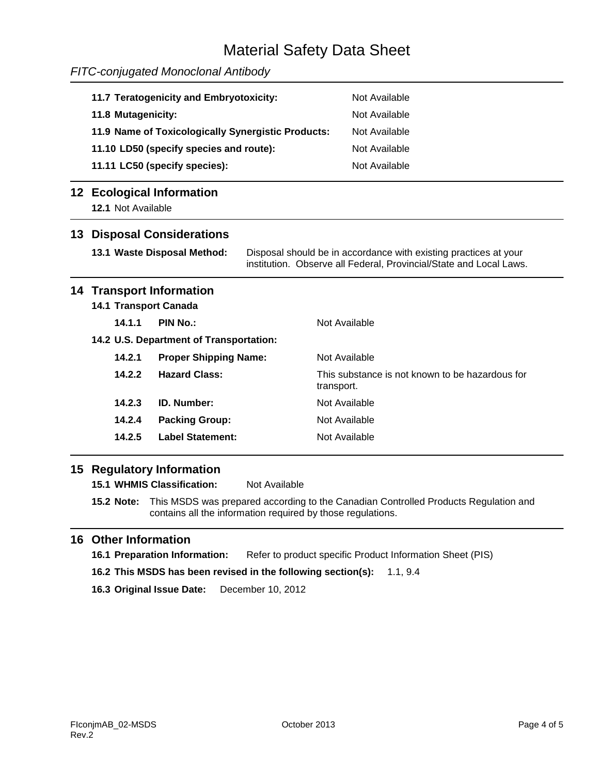# Material Safety Data Sheet

## *FITC-conjugated Monoclonal Antibody*

| 11.7 Teratogenicity and Embryotoxicity:            | Not Available |
|----------------------------------------------------|---------------|
| 11.8 Mutagenicity:                                 | Not Available |
| 11.9 Name of Toxicologically Synergistic Products: | Not Available |
| 11.10 LD50 (specify species and route):            | Not Available |
| 11.11 LC50 (specify species):                      | Not Available |

## **12 Ecological Information**

**12.1** Not Available

### **13 Disposal Considerations**

**13.1 Waste Disposal Method:** Disposal should be in accordance with existing practices at your institution. Observe all Federal, Provincial/State and Local Laws.

### **14 Transport Information**

| <b>14.1 Transport Canada</b> |  |  |
|------------------------------|--|--|
|                              |  |  |

| 14.1.1 | PIN No.:                                | Not Available                                                 |
|--------|-----------------------------------------|---------------------------------------------------------------|
|        | 14.2 U.S. Department of Transportation: |                                                               |
| 14.2.1 | <b>Proper Shipping Name:</b>            | Not Available                                                 |
| 14.2.2 | <b>Hazard Class:</b>                    | This substance is not known to be hazardous for<br>transport. |
| 14.2.3 | ID. Number:                             | Not Available                                                 |
| 14.2.4 | <b>Packing Group:</b>                   | Not Available                                                 |
| 14.2.5 | Label Statement:                        | Not Available                                                 |
|        |                                         |                                                               |

## **15 Regulatory Information**

**15.1 WHMIS Classification:** Not Available

**15.2 Note:** This MSDS was prepared according to the Canadian Controlled Products Regulation and contains all the information required by those regulations.

## **16 Other Information**

- **16.1 Preparation Information:** Refer to product specific Product Information Sheet (PIS)
- **16.2 This MSDS has been revised in the following section(s):** 1.1, 9.4

**16.3 Original Issue Date:** December 10, 2012